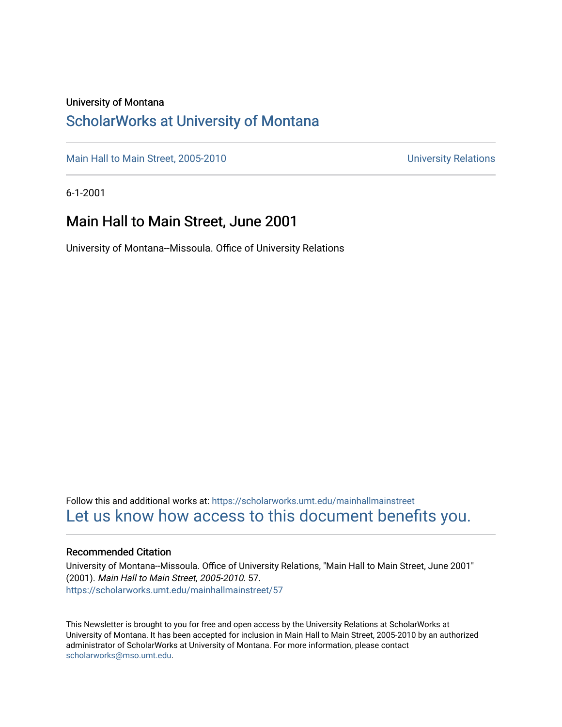### University of Montana

### [ScholarWorks at University of Montana](https://scholarworks.umt.edu/)

[Main Hall to Main Street, 2005-2010](https://scholarworks.umt.edu/mainhallmainstreet) Main Hall to Main Street, 2005-2010

6-1-2001

### Main Hall to Main Street, June 2001

University of Montana--Missoula. Office of University Relations

Follow this and additional works at: [https://scholarworks.umt.edu/mainhallmainstreet](https://scholarworks.umt.edu/mainhallmainstreet?utm_source=scholarworks.umt.edu%2Fmainhallmainstreet%2F57&utm_medium=PDF&utm_campaign=PDFCoverPages) [Let us know how access to this document benefits you.](https://goo.gl/forms/s2rGfXOLzz71qgsB2) 

### Recommended Citation

University of Montana--Missoula. Office of University Relations, "Main Hall to Main Street, June 2001" (2001). Main Hall to Main Street, 2005-2010. 57. [https://scholarworks.umt.edu/mainhallmainstreet/57](https://scholarworks.umt.edu/mainhallmainstreet/57?utm_source=scholarworks.umt.edu%2Fmainhallmainstreet%2F57&utm_medium=PDF&utm_campaign=PDFCoverPages) 

This Newsletter is brought to you for free and open access by the University Relations at ScholarWorks at University of Montana. It has been accepted for inclusion in Main Hall to Main Street, 2005-2010 by an authorized administrator of ScholarWorks at University of Montana. For more information, please contact [scholarworks@mso.umt.edu.](mailto:scholarworks@mso.umt.edu)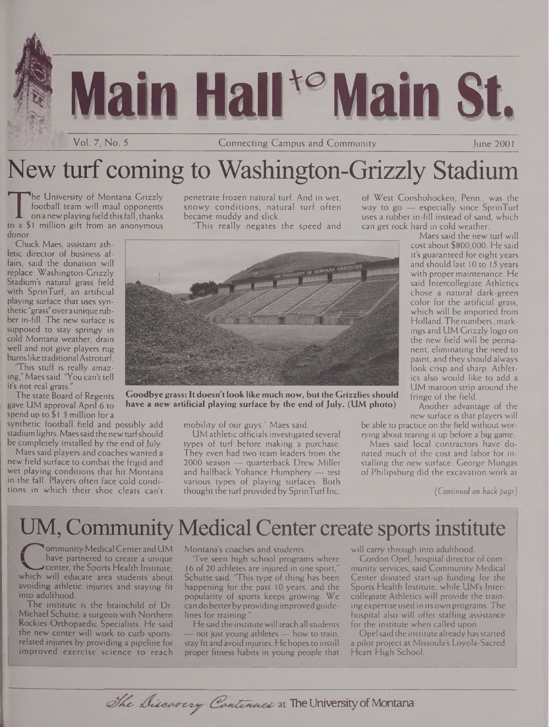

Vol. 7, No. 5 Connecting Campus and Community

# New turf coming to Washington-Grizzly Stadium

The differential of Nontallia Grizzly<br>football team will maul opponents<br>to a \$1 million gift from an anonymous<br>donor he University of Montana Grizzly football team will maul opponents on a new playing field this fall, thanks donor.

Chuck Maes, assistant athletic director of business affairs, said the donation will replace Washington-Grizzly Stadium's natural grass field with SprinTurf, an artificial playing surface that uses synthetic"grass"overaunique rubber in-fill. The new surface is supposed to stay springy in cold Montana weather, drain well and not give players rug burns like traditional Astroturf.

"This stuff is really amazing," Maessaid. "You can't tell it's not real grass."

The state Board of Regents gave UM approval April 6 to spend up to \$1.3 million for a

synthetic football field and possibly add stadium lights. Maessaid the new turfshould be completely installed by the end of July.

Maes said players and coaches wanted a new field surface to combat the frigid and wet playing conditions that hit Montana in the fall. Players often face cold conditions in which their shoe cleats can't penetrate frozen natural turf. And in wet, snowy conditions, natural turf often became muddy and slick.

"This really negates the speed and

**have a new artificial playing surface by the end of July. (UM photo)**

mobility of our guys," Maes said.

UM athletic officials investigated several types of turf before making a purchase. They even had two team leaders from the 2000 season — quarterback Drew Miller and halfback Yohance Humphery — test various types of playing surfaces. Both thought the turf provided by SprinTurf Inc.

of West Conshohocken, Penn., was the way to go — especially since SprinTurf uses a rubber in-fill instead of sand, which can get rock hard in cold weather.

Maes said the new turf will cost about \$800,000. He said it's guaranteed for eight years and should last 10 to 15 years with proper maintenance. He said Intercollegiate Athletics chose a natural dark-green color for the artificial grass, which will be imported from Holland.The numbers, markings and UM Grizzly logo on the new field will be permanent, eliminating the need to paint, and they should always look crisp and sharp. Athletics also would like to add a UM maroon strip around the fringe of the field.

Another advantage of the new surface is that players will

be able to practice on the field without worrying about tearing it up before a big game.

Maes said local contractors have donated much of the cost and labor for installing the new surface. George Mungas of Philipsburg did the excavation work at

# UM, Community Medical Center create sports institute

ommunity Medical Center and UM have partnered to create a unique ^<\_>center, the Sports Health Institute, which will educate area students about avoiding athletic injuries and staying fit into adulthood.

The institute is the brainchild of Dr. Michael Schutte, a surgeon with Northern Rockies Orthopaedic Specialists. He said the new center will work to curb sportsrelated injuries by providing a pipeline for improved exercise' science to reach Montana's coaches and students.

"I've seen high school programs where 16 of 20 athletes are injured in one sport," Schutte said. "This type of thing has been happening for the past 10 years, and the popularity of sports keeps growing. We can do betterby providingimprovedguidelines for training.

He said the institute will teach all students — not just young athletes — how to train, stay fit and avoid injuries. He hopes to instill proper fitness habits in young people that

will carry through into adulthood.

Gordon Opel, hospital director of community services, said Community Medical Center donated start-up funding for the Sports Health Institute, while LIM's Intercollegiate Athletics will provide the trainingexpertise used in its own programs. The hospital also will offer staffing assistance for the institute when called upon.

Opel said the institute already has started a pilot project at Missoula's Loyola-Sacred Heart High School.



The Discovery Continues at The University of Montana

June 2001

*<sup>(</sup>Continued on back pat/e)*